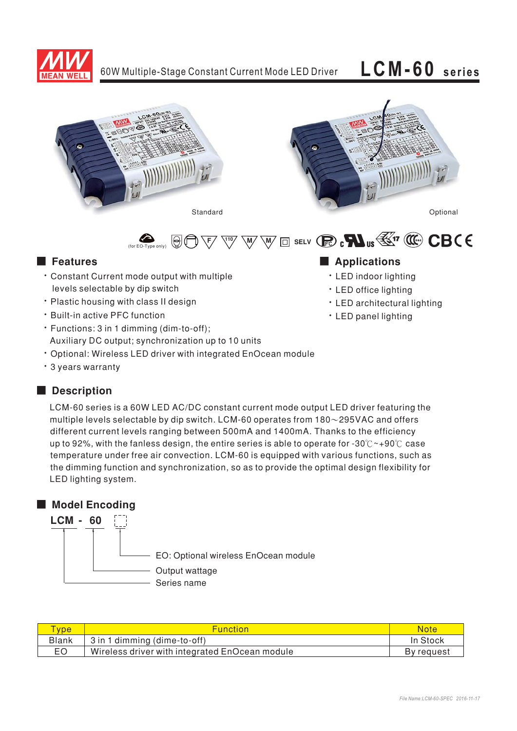





• LED architectural lighting

• LED indoor lighting • LED office lighting

• LED panel lighting

 $\overline{\mathbb{W}}\,\overline{\mathbb{W}}\ \overline{\mathbb{U}}$  and selv  $\mathbb{R}\,$  of  $\mathbf{M}_{\mathsf{us}}\,\overline{\mathbb{W}}$  ,  $\overline{\mathbb{W}}\,\overline{\mathbb{W}}\,$   $\mathbb{C}\mathbf{B}\mathsf{C}\,\mathsf{C}$  $\Theta$ only)

# ■ Features ■ Ap

• Constant Current mode output with multiple levels selectable by dip switch

(for  $EO$ -Type

- Plastic housing with class II design
- Built-in active PFC function
- Functions: 3 in 1 dimming (dim-to-off); Auxiliary DC output; synchronization up to 10 units
- Optional: Wireless LED driver with integrated EnOcean module
- 3 years warranty

# ■ **Description**

LCM-60 series is a 60W LED AC/DC constant current mode output LED driver featuring the multiple levels selectable by dip switch. LCM-60 operates from 180 $\sim$ 295VAC and offers different current levels ranging between 500mA and 1400mA. Thanks to the efficiency up to 92%, with the fanless design, the entire series is able to operate for -30°C ~+90°C case temperature under free air convection. LCM-60 is equipped with various functions, such as the dimming function and synchronization, so as to provide the optimal design flexibility for LED lighting system.

# ■ Model Encoding



| <b>vpe</b>   | <b>Function</b>                                | Note       |
|--------------|------------------------------------------------|------------|
| <b>Blank</b> | 3 in 1 dimming (dime-to-off)                   | In Stock   |
| EO           | Wireless driver with integrated EnOcean module | By request |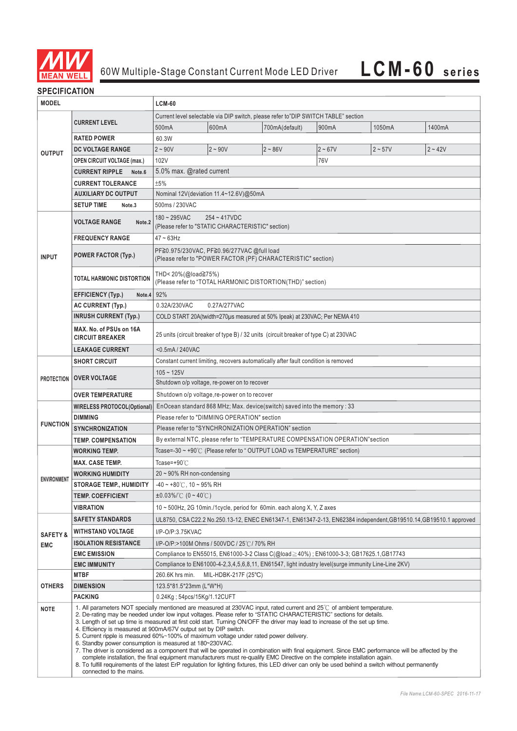

## **SPECIFICATION**

| <b>MODEL</b>                                                            |                                                                                                                                                                                                                                                                                                                                                                                                                                                                                                                                                                                                                                                                                                                                                                                                                                                                                                                                                                                                                                                                             | <b>LCM-60</b>                                                                                                     |                                                                                                     |                |           |           |           |  |
|-------------------------------------------------------------------------|-----------------------------------------------------------------------------------------------------------------------------------------------------------------------------------------------------------------------------------------------------------------------------------------------------------------------------------------------------------------------------------------------------------------------------------------------------------------------------------------------------------------------------------------------------------------------------------------------------------------------------------------------------------------------------------------------------------------------------------------------------------------------------------------------------------------------------------------------------------------------------------------------------------------------------------------------------------------------------------------------------------------------------------------------------------------------------|-------------------------------------------------------------------------------------------------------------------|-----------------------------------------------------------------------------------------------------|----------------|-----------|-----------|-----------|--|
|                                                                         | <b>CURRENT LEVEL</b>                                                                                                                                                                                                                                                                                                                                                                                                                                                                                                                                                                                                                                                                                                                                                                                                                                                                                                                                                                                                                                                        | Current level selectable via DIP switch, please refer to"DIP SWITCH TABLE" section                                |                                                                                                     |                |           |           |           |  |
| <b>OUTPUT</b>                                                           |                                                                                                                                                                                                                                                                                                                                                                                                                                                                                                                                                                                                                                                                                                                                                                                                                                                                                                                                                                                                                                                                             | 500mA                                                                                                             | 600mA                                                                                               | 700mA(default) | 900mA     | 1050mA    | 1400mA    |  |
|                                                                         | <b>RATED POWER</b>                                                                                                                                                                                                                                                                                                                                                                                                                                                                                                                                                                                                                                                                                                                                                                                                                                                                                                                                                                                                                                                          | 60.3W                                                                                                             |                                                                                                     |                |           |           |           |  |
|                                                                         | <b>DC VOLTAGE RANGE</b>                                                                                                                                                                                                                                                                                                                                                                                                                                                                                                                                                                                                                                                                                                                                                                                                                                                                                                                                                                                                                                                     | $2 - 90V$                                                                                                         | $2 - 90V$                                                                                           | $2 - 86V$      | $2 - 67V$ | $2 - 57V$ | $2 - 42V$ |  |
|                                                                         | <b>OPEN CIRCUIT VOLTAGE (max.)</b>                                                                                                                                                                                                                                                                                                                                                                                                                                                                                                                                                                                                                                                                                                                                                                                                                                                                                                                                                                                                                                          | 102V                                                                                                              |                                                                                                     |                | 76V       |           |           |  |
|                                                                         | <b>CURRENT RIPPLE</b><br>Note.6                                                                                                                                                                                                                                                                                                                                                                                                                                                                                                                                                                                                                                                                                                                                                                                                                                                                                                                                                                                                                                             | 5.0% max. @rated current                                                                                          |                                                                                                     |                |           |           |           |  |
|                                                                         | <b>CURRENT TOLERANCE</b>                                                                                                                                                                                                                                                                                                                                                                                                                                                                                                                                                                                                                                                                                                                                                                                                                                                                                                                                                                                                                                                    | ±5%                                                                                                               |                                                                                                     |                |           |           |           |  |
|                                                                         | <b>AUXILIARY DC OUTPUT</b>                                                                                                                                                                                                                                                                                                                                                                                                                                                                                                                                                                                                                                                                                                                                                                                                                                                                                                                                                                                                                                                  | Nominal 12V(deviation 11.4~12.6V)@50mA                                                                            |                                                                                                     |                |           |           |           |  |
|                                                                         | <b>SETUP TIME</b><br>Note <sub>.3</sub>                                                                                                                                                                                                                                                                                                                                                                                                                                                                                                                                                                                                                                                                                                                                                                                                                                                                                                                                                                                                                                     | 500ms / 230VAC                                                                                                    |                                                                                                     |                |           |           |           |  |
|                                                                         | <b>VOLTAGE RANGE</b><br>Note.2                                                                                                                                                                                                                                                                                                                                                                                                                                                                                                                                                                                                                                                                                                                                                                                                                                                                                                                                                                                                                                              | $180 - 295$ VAC                                                                                                   | $254 - 417VDC$<br>(Please refer to "STATIC CHARACTERISTIC" section)                                 |                |           |           |           |  |
|                                                                         | <b>FREQUENCY RANGE</b>                                                                                                                                                                                                                                                                                                                                                                                                                                                                                                                                                                                                                                                                                                                                                                                                                                                                                                                                                                                                                                                      | $47 \sim 63$ Hz                                                                                                   |                                                                                                     |                |           |           |           |  |
| <b>INPUT</b>                                                            | <b>POWER FACTOR (Typ.)</b>                                                                                                                                                                                                                                                                                                                                                                                                                                                                                                                                                                                                                                                                                                                                                                                                                                                                                                                                                                                                                                                  | PF≧0.975/230VAC, PF≧0.96/277VAC @full load<br>(Please refer to "POWER FACTOR (PF) CHARACTERISTIC" section)        |                                                                                                     |                |           |           |           |  |
|                                                                         | TOTAL HARMONIC DISTORTION                                                                                                                                                                                                                                                                                                                                                                                                                                                                                                                                                                                                                                                                                                                                                                                                                                                                                                                                                                                                                                                   | THD<20%(@load≧75%)<br>(Please refer to "TOTAL HARMONIC DISTORTION(THD)" section)                                  |                                                                                                     |                |           |           |           |  |
|                                                                         | <b>EFFICIENCY (Typ.)</b><br>Note.4                                                                                                                                                                                                                                                                                                                                                                                                                                                                                                                                                                                                                                                                                                                                                                                                                                                                                                                                                                                                                                          | 92%                                                                                                               |                                                                                                     |                |           |           |           |  |
|                                                                         | <b>AC CURRENT (Typ.)</b>                                                                                                                                                                                                                                                                                                                                                                                                                                                                                                                                                                                                                                                                                                                                                                                                                                                                                                                                                                                                                                                    | 0.32A/230VAC<br>0.27A/277VAC                                                                                      |                                                                                                     |                |           |           |           |  |
|                                                                         | <b>INRUSH CURRENT (Typ.)</b>                                                                                                                                                                                                                                                                                                                                                                                                                                                                                                                                                                                                                                                                                                                                                                                                                                                                                                                                                                                                                                                | COLD START 20A(twidth=270µs measured at 50% Ipeak) at 230VAC; Per NEMA 410                                        |                                                                                                     |                |           |           |           |  |
|                                                                         | MAX. No. of PSUs on 16A<br><b>CIRCUIT BREAKER</b>                                                                                                                                                                                                                                                                                                                                                                                                                                                                                                                                                                                                                                                                                                                                                                                                                                                                                                                                                                                                                           | 25 units (circuit breaker of type B) / 32 units (circuit breaker of type C) at 230VAC                             |                                                                                                     |                |           |           |           |  |
|                                                                         | <b>LEAKAGE CURRENT</b>                                                                                                                                                                                                                                                                                                                                                                                                                                                                                                                                                                                                                                                                                                                                                                                                                                                                                                                                                                                                                                                      | <0.5mA / 240VAC                                                                                                   |                                                                                                     |                |           |           |           |  |
|                                                                         | <b>SHORT CIRCUIT</b>                                                                                                                                                                                                                                                                                                                                                                                                                                                                                                                                                                                                                                                                                                                                                                                                                                                                                                                                                                                                                                                        | Constant current limiting, recovers automatically after fault condition is removed                                |                                                                                                     |                |           |           |           |  |
| <b>PROTECTION</b>                                                       | <b>OVER VOLTAGE</b>                                                                                                                                                                                                                                                                                                                                                                                                                                                                                                                                                                                                                                                                                                                                                                                                                                                                                                                                                                                                                                                         | $105 - 125V$                                                                                                      | Shutdown o/p voltage, re-power on to recover                                                        |                |           |           |           |  |
|                                                                         |                                                                                                                                                                                                                                                                                                                                                                                                                                                                                                                                                                                                                                                                                                                                                                                                                                                                                                                                                                                                                                                                             |                                                                                                                   |                                                                                                     |                |           |           |           |  |
| Shutdown o/p voltage, re-power on to recover<br><b>OVER TEMPERATURE</b> |                                                                                                                                                                                                                                                                                                                                                                                                                                                                                                                                                                                                                                                                                                                                                                                                                                                                                                                                                                                                                                                                             |                                                                                                                   |                                                                                                     |                |           |           |           |  |
|                                                                         | <b>WIRELESS PROTOCOL(Optional)</b>                                                                                                                                                                                                                                                                                                                                                                                                                                                                                                                                                                                                                                                                                                                                                                                                                                                                                                                                                                                                                                          | EnOcean standard 868 MHz; Max. device(switch) saved into the memory : 33                                          |                                                                                                     |                |           |           |           |  |
| <b>FUNCTION</b>                                                         | <b>DIMMING</b>                                                                                                                                                                                                                                                                                                                                                                                                                                                                                                                                                                                                                                                                                                                                                                                                                                                                                                                                                                                                                                                              | Please refer to "DIMMING OPERATION" section                                                                       |                                                                                                     |                |           |           |           |  |
|                                                                         | <b>SYNCHRONIZATION</b>                                                                                                                                                                                                                                                                                                                                                                                                                                                                                                                                                                                                                                                                                                                                                                                                                                                                                                                                                                                                                                                      | Please refer to "SYNCHRONIZATION OPERATION" section                                                               |                                                                                                     |                |           |           |           |  |
|                                                                         | <b>TEMP. COMPENSATION</b>                                                                                                                                                                                                                                                                                                                                                                                                                                                                                                                                                                                                                                                                                                                                                                                                                                                                                                                                                                                                                                                   | By external NTC, please refer to "TEMPERATURE COMPENSATION OPERATION"section                                      |                                                                                                     |                |           |           |           |  |
|                                                                         | <b>WORKING TEMP.</b>                                                                                                                                                                                                                                                                                                                                                                                                                                                                                                                                                                                                                                                                                                                                                                                                                                                                                                                                                                                                                                                        | Tcase=-30 $\sim$ +90 $\degree$ C (Please refer to $\degree$ OUTPUT LOAD vs TEMPERATURE" section)                  |                                                                                                     |                |           |           |           |  |
|                                                                         | <b>MAX. CASE TEMP.</b>                                                                                                                                                                                                                                                                                                                                                                                                                                                                                                                                                                                                                                                                                                                                                                                                                                                                                                                                                                                                                                                      | Tcase=+90 $°C$                                                                                                    |                                                                                                     |                |           |           |           |  |
| <b>ENVIRONMENT</b>                                                      | WORKING HUMIDITY                                                                                                                                                                                                                                                                                                                                                                                                                                                                                                                                                                                                                                                                                                                                                                                                                                                                                                                                                                                                                                                            | 20~90% RH non-condensing                                                                                          |                                                                                                     |                |           |           |           |  |
|                                                                         | <b>STORAGE TEMP., HUMIDITY</b>                                                                                                                                                                                                                                                                                                                                                                                                                                                                                                                                                                                                                                                                                                                                                                                                                                                                                                                                                                                                                                              | -40 ~ +80°C, 10 ~ 95% RH                                                                                          |                                                                                                     |                |           |           |           |  |
|                                                                         | <b>TEMP. COEFFICIENT</b>                                                                                                                                                                                                                                                                                                                                                                                                                                                                                                                                                                                                                                                                                                                                                                                                                                                                                                                                                                                                                                                    | ±0.03%/℃ (0~40℃)                                                                                                  |                                                                                                     |                |           |           |           |  |
|                                                                         | <b>VIBRATION</b>                                                                                                                                                                                                                                                                                                                                                                                                                                                                                                                                                                                                                                                                                                                                                                                                                                                                                                                                                                                                                                                            | 10 ~ 500Hz, 2G 10min./1cycle, period for 60min. each along X, Y, Z axes                                           |                                                                                                     |                |           |           |           |  |
|                                                                         | <b>SAFETY STANDARDS</b>                                                                                                                                                                                                                                                                                                                                                                                                                                                                                                                                                                                                                                                                                                                                                                                                                                                                                                                                                                                                                                                     | UL8750, CSA C22.2 No.250.13-12, ENEC EN61347-1, EN61347-2-13, EN62384 independent, GB19510.14, GB19510.1 approved |                                                                                                     |                |           |           |           |  |
| <b>SAFETY &amp;</b>                                                     | <b>WITHSTAND VOLTAGE</b>                                                                                                                                                                                                                                                                                                                                                                                                                                                                                                                                                                                                                                                                                                                                                                                                                                                                                                                                                                                                                                                    | I/P-O/P:3.75KVAC                                                                                                  |                                                                                                     |                |           |           |           |  |
| <b>EMC</b>                                                              | <b>ISOLATION RESISTANCE</b>                                                                                                                                                                                                                                                                                                                                                                                                                                                                                                                                                                                                                                                                                                                                                                                                                                                                                                                                                                                                                                                 | I/P-O/P:>100M Ohms / 500VDC / 25℃/70% RH                                                                          |                                                                                                     |                |           |           |           |  |
|                                                                         | <b>EMC EMISSION</b>                                                                                                                                                                                                                                                                                                                                                                                                                                                                                                                                                                                                                                                                                                                                                                                                                                                                                                                                                                                                                                                         | Compliance to EN55015, EN61000-3-2 Class C(@load $\geq$ 40%); EN61000-3-3; GB17625.1, GB17743                     |                                                                                                     |                |           |           |           |  |
|                                                                         | <b>EMC IMMUNITY</b>                                                                                                                                                                                                                                                                                                                                                                                                                                                                                                                                                                                                                                                                                                                                                                                                                                                                                                                                                                                                                                                         |                                                                                                                   | Compliance to EN61000-4-2,3,4,5,6,8,11, EN61547, light industry level(surge immunity Line-Line 2KV) |                |           |           |           |  |
|                                                                         | <b>MTBF</b>                                                                                                                                                                                                                                                                                                                                                                                                                                                                                                                                                                                                                                                                                                                                                                                                                                                                                                                                                                                                                                                                 | 260.6K hrs min.                                                                                                   | MIL-HDBK-217F (25°C)                                                                                |                |           |           |           |  |
| <b>OTHERS</b>                                                           | <b>DIMENSION</b>                                                                                                                                                                                                                                                                                                                                                                                                                                                                                                                                                                                                                                                                                                                                                                                                                                                                                                                                                                                                                                                            | 123.5*81.5*23mm (L*W*H)                                                                                           |                                                                                                     |                |           |           |           |  |
|                                                                         | <b>PACKING</b>                                                                                                                                                                                                                                                                                                                                                                                                                                                                                                                                                                                                                                                                                                                                                                                                                                                                                                                                                                                                                                                              | 0.24Kg; 54pcs/15Kg/1.12CUFT                                                                                       |                                                                                                     |                |           |           |           |  |
| <b>NOTE</b>                                                             | 1. All parameters NOT specially mentioned are measured at 230VAC input, rated current and 25°C of ambient temperature.<br>2. De-rating may be needed under low input voltages. Please refer to "STATIC CHARACTERISTIC" sections for details.<br>3. Length of set up time is measured at first cold start. Turning ON/OFF the driver may lead to increase of the set up time.<br>4. Efficiency is measured at 900mA/67V output set by DIP switch.<br>5. Current ripple is measured 60%~100% of maximum voltage under rated power delivery.<br>6. Standby power consumption is measured at 180~230VAC.<br>7. The driver is considered as a component that will be operated in combination with final equipment. Since EMC performance will be affected by the<br>complete installation, the final equipment manufacturers must re-qualify EMC Directive on the complete installation again.<br>8. To fulfill requirements of the latest ErP regulation for lighting fixtures, this LED driver can only be used behind a switch without permanently<br>connected to the mains. |                                                                                                                   |                                                                                                     |                |           |           |           |  |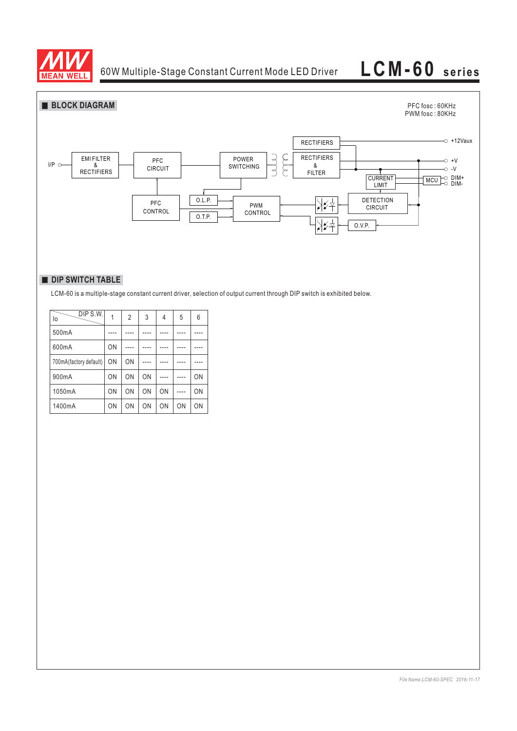



## **DIP SWITCH TABLE**

LCM-60 is a multiple-stage constant current driver, selection of output current through DIP switch is exhibited below.

| DIP S.W.<br>lo         |           | $\overline{2}$ | 3  | 4  | 5  | 6  |
|------------------------|-----------|----------------|----|----|----|----|
| 500mA                  |           |                |    |    |    |    |
| 600mA                  | ON        |                |    |    |    |    |
| 700mA(factory default) | ON        | ON             |    |    |    |    |
| 900mA                  | ON        | ON             | ON |    |    | ON |
| 1050mA                 | ON        | ON             | ON | ON |    | ON |
| 1400mA                 | <b>ON</b> | <b>ON</b>      | ON | ON | ON | ON |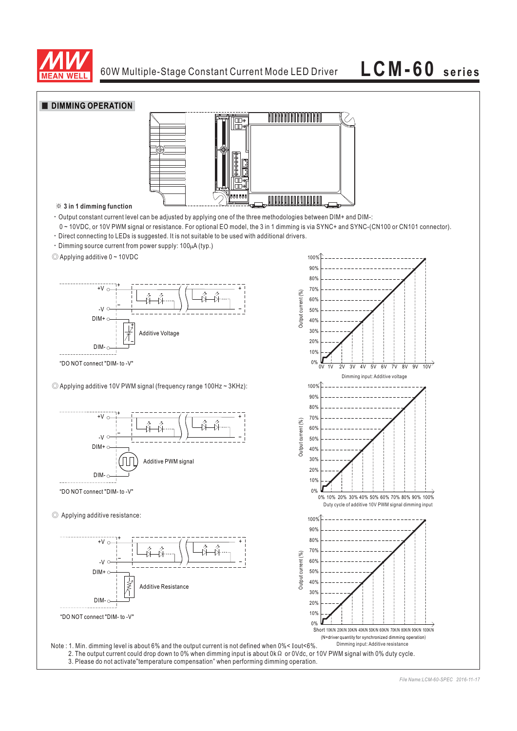

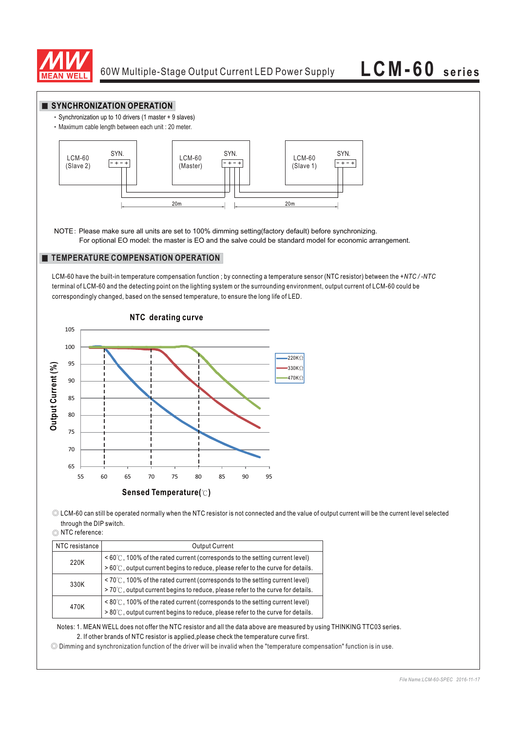

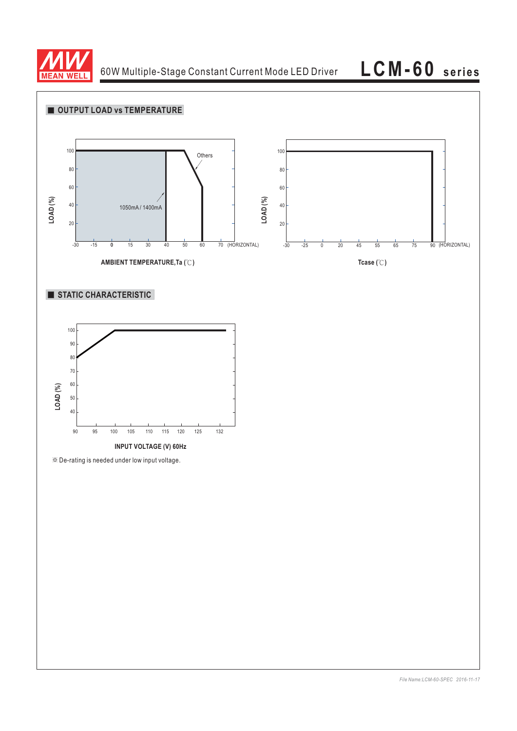

60W Multiple-Stage Constant Current Mode LED Driver

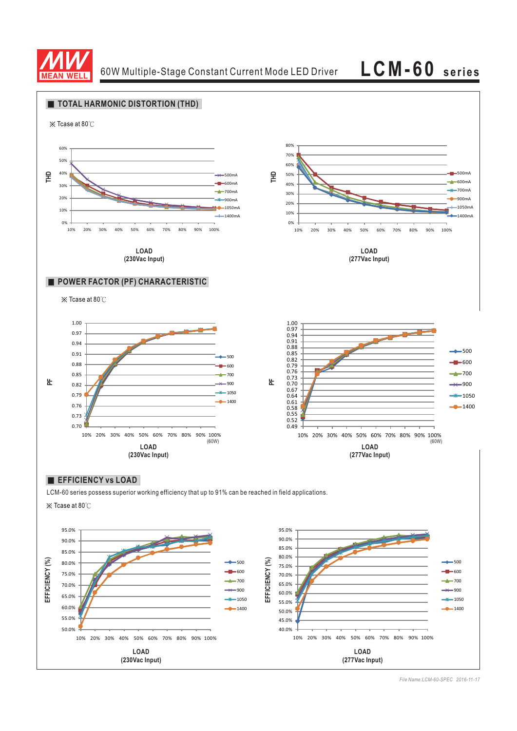

60W Multiple-Stage Constant Current Mode LED Driver **LCM-60 series**



*File Name:LCM-60-SPEC 2016-11-17*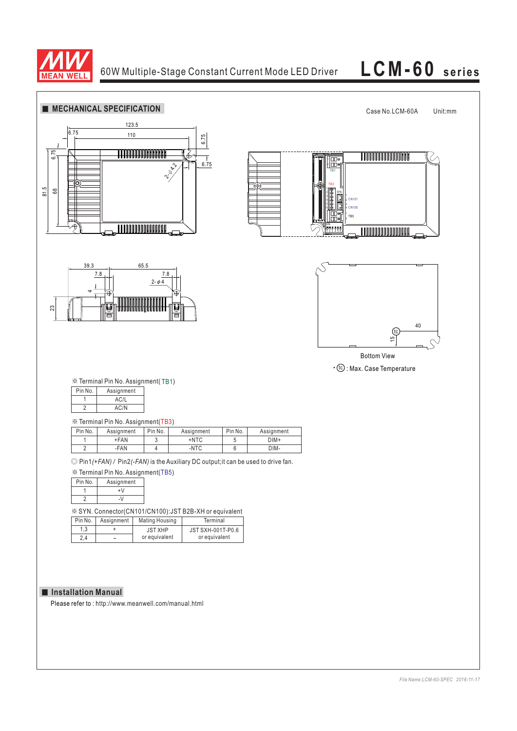

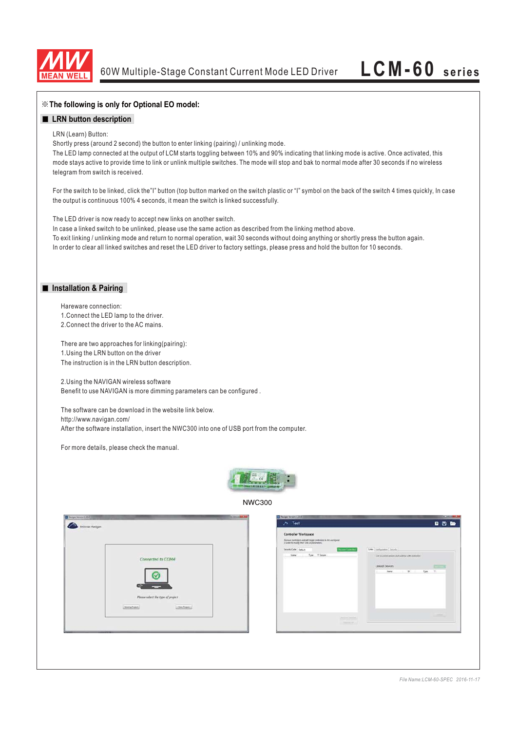

### ※**The following is only for Optional EO model:**

### **LRN** button description

### LRN (Learn) Button:

Shortly press (around 2 second) the button to enter linking (pairing) / unlinking mode.

The LED lamp connected at the output of LCM starts toggling between 10% and 90% indicating that linking mode is active. Once activated, this mode stays active to provide time to link or unlink multiple switches. The mode will stop and bak to normal mode after 30 seconds if no wireless telegram from switch is received.

For the switch to be linked, click the"I" button (top button marked on the switch plastic or "I" symbol on the back of the switch 4 times quickly, In case the output is continuous 100% 4 seconds, it mean the switch is linked successfully.

The LED driver is now ready to accept new links on another switch.

In case a linked switch to be unlinked, please use the same action as described from the linking method above. To exit linking / unlinking mode and return to normal operation, wait 30 seconds without doing anything or shortly press the button again. In order to clear all linked switches and reset the LED driver to factory settings, please press and hold the button for 10 seconds.

### **Installation & Pairing**

Hareware connection: 1.Connect the LED lamp to the driver. 2.Connect the driver to the AC mains.

There are two approaches for linking(pairing): 1.Using the LRN button on the driver The instruction is in the LRN button description.

2.Using the NAVIGAN wireless software Benefit to use NAVIGAN is more dimming parameters can be configured .

The software can be download in the website link below. http://www.navigan.com/ After the software installation, insert the NWC300 into one of USB port from the computer.

For more details, please check the manual.



NWC300

|                                                             | Controller Workspace<br>Discover twentiers and said torpet controllers to the workgame.<br>Scander to modify their links or parameters:                                                                      |                                                           |
|-------------------------------------------------------------|--------------------------------------------------------------------------------------------------------------------------------------------------------------------------------------------------------------|-----------------------------------------------------------|
| Connected to COM4<br>M<br>Please select the type of project | <b>SHS</b> Composites Security<br><b>Decem Controller</b><br>Security Code - Default<br>Type 7 Series<br><b>Name</b><br>Link or politic sensors and awitches with committee<br><b>Linked Devices</b><br>Name | <b>STILLES</b><br>$\blacksquare$<br>Type<br>$\mathcal{R}$ |
| Liber Province<br>[ Benera Project.]                        | <b>Record Section</b><br>American                                                                                                                                                                            | <b>John</b>                                               |

*File Name:LCM-60-SPEC 2016-11-17*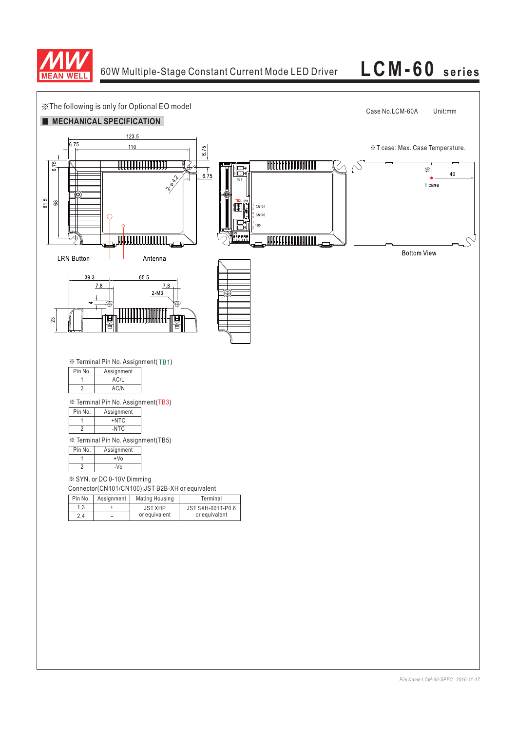

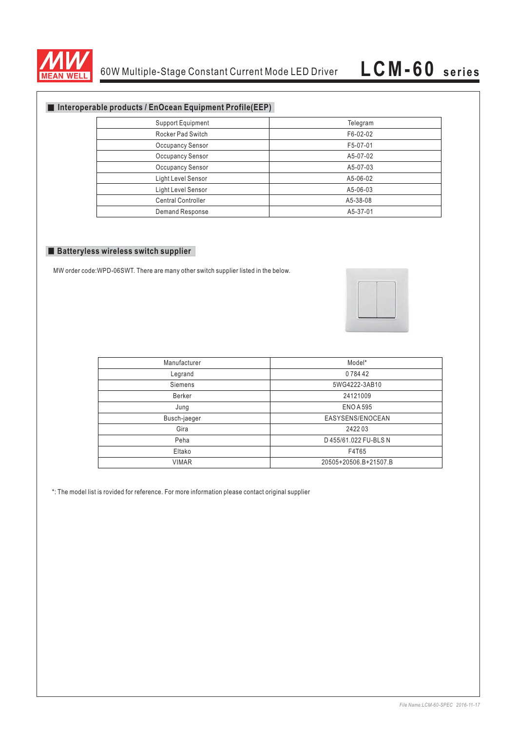

## **Interoperable products / EnOcean Equipment Profile(EEP)**

| <b>Support Equipment</b>  | Telegram |
|---------------------------|----------|
| Rocker Pad Switch         | F6-02-02 |
| <b>Occupancy Sensor</b>   | F5-07-01 |
| <b>Occupancy Sensor</b>   | A5-07-02 |
| <b>Occupancy Sensor</b>   | A5-07-03 |
| Light Level Sensor        | A5-06-02 |
| Light Level Sensor        | A5-06-03 |
| <b>Central Controller</b> | A5-38-08 |
| Demand Response           | A5-37-01 |

### **Batteryless wireless switch supplier**

MW order code:WPD-06SWT. There are many other switch supplier listed in the below.



| Manufacturer | Model*                |
|--------------|-----------------------|
| Legrand      | 078442                |
| Siemens      | 5WG4222-3AB10         |
| Berker       | 24121009              |
| Jung         | <b>ENO A 595</b>      |
| Busch-jaeger | EASYSENS/ENOCEAN      |
| Gira         | 242203                |
| Peha         | D 455/61.022 FU-BLS N |
| Eltako       | F4T65                 |
| <b>VIMAR</b> | 20505+20506.B+21507.B |

\*: The model list is rovided for reference. For more information please contact original supplier